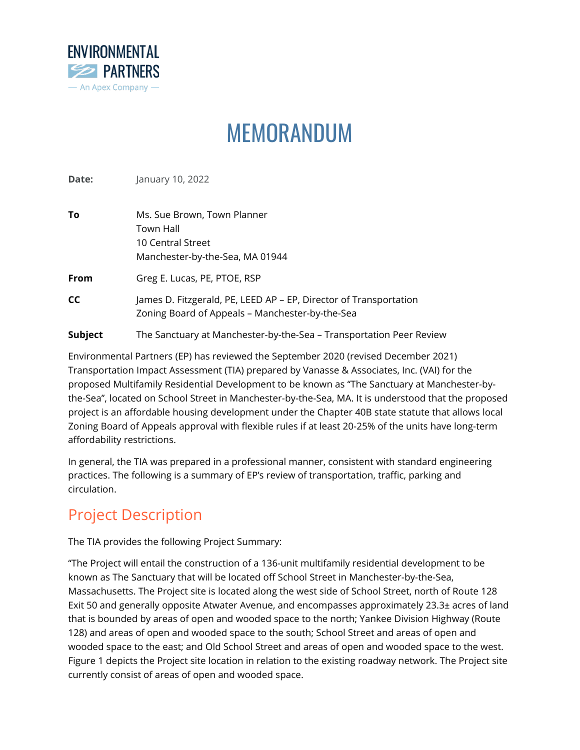

# MEMORANDUM

**Date: January 10, 2022** 

| To      | Ms. Sue Brown, Town Planner<br>Town Hall<br>10 Central Street<br>Manchester-by-the-Sea, MA 01944                     |  |
|---------|----------------------------------------------------------------------------------------------------------------------|--|
| From    | Greg E. Lucas, PE, PTOE, RSP                                                                                         |  |
| СC      | James D. Fitzgerald, PE, LEED AP – EP, Director of Transportation<br>Zoning Board of Appeals - Manchester-by-the-Sea |  |
| Subject | The Sanctuary at Manchester-by-the-Sea – Transportation Peer Review                                                  |  |

Environmental Partners (EP) has reviewed the September 2020 (revised December 2021) Transportation Impact Assessment (TIA) prepared by Vanasse & Associates, Inc. (VAI) for the proposed Multifamily Residential Development to be known as "The Sanctuary at Manchester-bythe-Sea", located on School Street in Manchester-by-the-Sea, MA. It is understood that the proposed project is an affordable housing development under the Chapter 40B state statute that allows local Zoning Board of Appeals approval with flexible rules if at least 20-25% of the units have long-term affordability restrictions.

In general, the TIA was prepared in a professional manner, consistent with standard engineering practices. The following is a summary of EP's review of transportation, traffic, parking and circulation.

# Project Description

The TIA provides the following Project Summary:

"The Project will entail the construction of a 136-unit multifamily residential development to be known as The Sanctuary that will be located off School Street in Manchester-by-the-Sea, Massachusetts. The Project site is located along the west side of School Street, north of Route 128 Exit 50 and generally opposite Atwater Avenue, and encompasses approximately 23.3± acres of land that is bounded by areas of open and wooded space to the north; Yankee Division Highway (Route 128) and areas of open and wooded space to the south; School Street and areas of open and wooded space to the east; and Old School Street and areas of open and wooded space to the west. Figure 1 depicts the Project site location in relation to the existing roadway network. The Project site currently consist of areas of open and wooded space.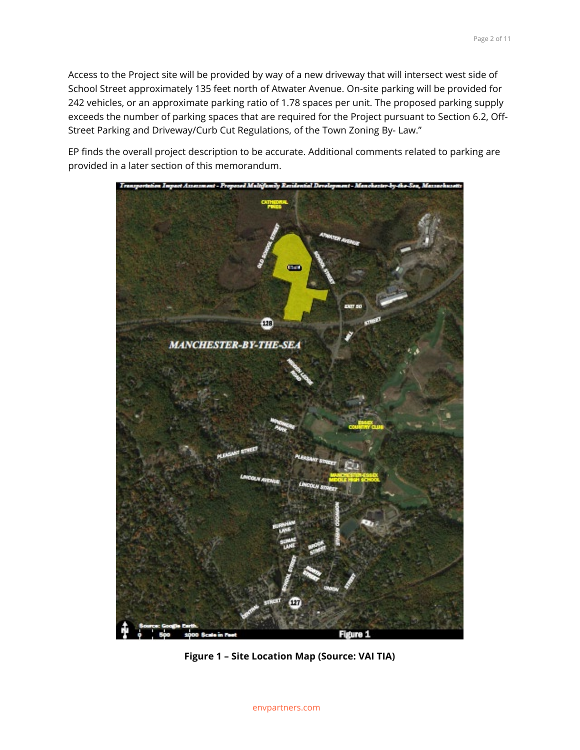Access to the Project site will be provided by way of a new driveway that will intersect west side of School Street approximately 135 feet north of Atwater Avenue. On-site parking will be provided for 242 vehicles, or an approximate parking ratio of 1.78 spaces per unit. The proposed parking supply exceeds the number of parking spaces that are required for the Project pursuant to Section 6.2, Off-Street Parking and Driveway/Curb Cut Regulations, of the Town Zoning By- Law."

EP finds the overall project description to be accurate. Additional comments related to parking are provided in a later section of this memorandum.



**Figure 1 – Site Location Map (Source: VAI TIA)**

envpartners.com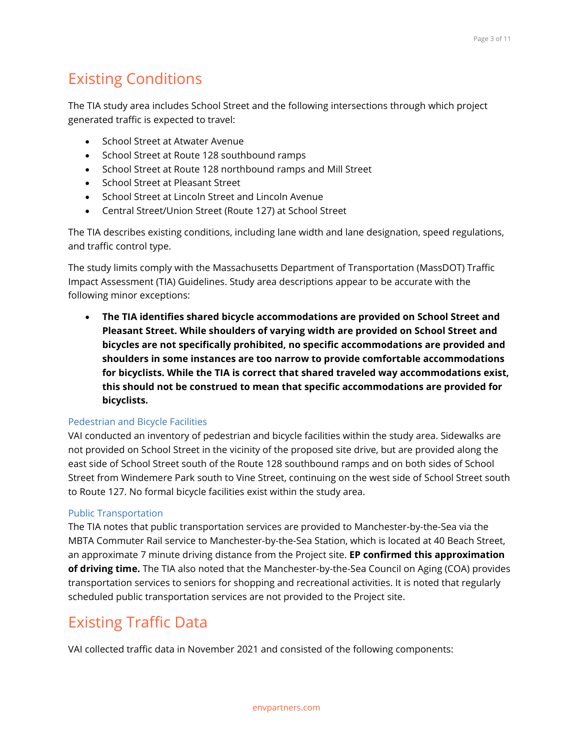# Existing Conditions

The TIA study area includes School Street and the following intersections through which project generated traffic is expected to travel:

- School Street at Atwater Avenue
- School Street at Route 128 southbound ramps
- School Street at Route 128 northbound ramps and Mill Street
- School Street at Pleasant Street
- School Street at Lincoln Street and Lincoln Avenue
- Central Street/Union Street (Route 127) at School Street

The TIA describes existing conditions, including lane width and lane designation, speed regulations, and traffic control type.

The study limits comply with the Massachusetts Department of Transportation (MassDOT) Traffic Impact Assessment (TIA) Guidelines. Study area descriptions appear to be accurate with the following minor exceptions:

• **The TIA identifies shared bicycle accommodations are provided on School Street and Pleasant Street. While shoulders of varying width are provided on School Street and bicycles are not specifically prohibited, no specific accommodations are provided and shoulders in some instances are too narrow to provide comfortable accommodations for bicyclists. While the TIA is correct that shared traveled way accommodations exist, this should not be construed to mean that specific accommodations are provided for bicyclists.**

#### Pedestrian and Bicycle Facilities

VAI conducted an inventory of pedestrian and bicycle facilities within the study area. Sidewalks are not provided on School Street in the vicinity of the proposed site drive, but are provided along the east side of School Street south of the Route 128 southbound ramps and on both sides of School Street from Windemere Park south to Vine Street, continuing on the west side of School Street south to Route 127. No formal bicycle facilities exist within the study area.

#### Public Transportation

The TIA notes that public transportation services are provided to Manchester-by-the-Sea via the MBTA Commuter Rail service to Manchester-by-the-Sea Station, which is located at 40 Beach Street, an approximate 7 minute driving distance from the Project site. **EP confirmed this approximation of driving time.** The TIA also noted that the Manchester-by-the-Sea Council on Aging (COA) provides transportation services to seniors for shopping and recreational activities. It is noted that regularly scheduled public transportation services are not provided to the Project site.

# Existing Traffic Data

VAI collected traffic data in November 2021 and consisted of the following components: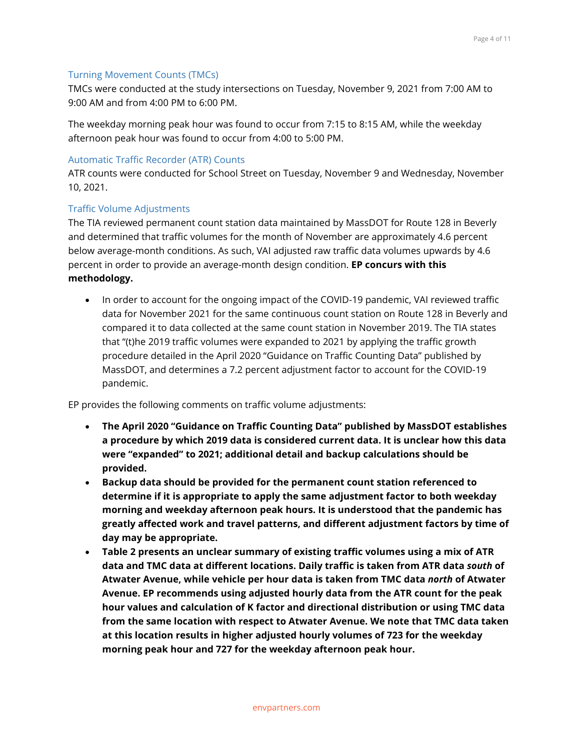#### Turning Movement Counts (TMCs)

TMCs were conducted at the study intersections on Tuesday, November 9, 2021 from 7:00 AM to 9:00 AM and from 4:00 PM to 6:00 PM.

The weekday morning peak hour was found to occur from 7:15 to 8:15 AM, while the weekday afternoon peak hour was found to occur from 4:00 to 5:00 PM.

#### Automatic Traffic Recorder (ATR) Counts

ATR counts were conducted for School Street on Tuesday, November 9 and Wednesday, November 10, 2021.

#### Traffic Volume Adjustments

The TIA reviewed permanent count station data maintained by MassDOT for Route 128 in Beverly and determined that traffic volumes for the month of November are approximately 4.6 percent below average-month conditions. As such, VAI adjusted raw traffic data volumes upwards by 4.6 percent in order to provide an average-month design condition. **EP concurs with this methodology.**

• In order to account for the ongoing impact of the COVID-19 pandemic, VAI reviewed traffic data for November 2021 for the same continuous count station on Route 128 in Beverly and compared it to data collected at the same count station in November 2019. The TIA states that "(t)he 2019 traffic volumes were expanded to 2021 by applying the traffic growth procedure detailed in the April 2020 "Guidance on Traffic Counting Data" published by MassDOT, and determines a 7.2 percent adjustment factor to account for the COVID-19 pandemic.

EP provides the following comments on traffic volume adjustments:

- **The April 2020 "Guidance on Traffic Counting Data" published by MassDOT establishes a procedure by which 2019 data is considered current data. It is unclear how this data were "expanded" to 2021; additional detail and backup calculations should be provided.**
- **Backup data should be provided for the permanent count station referenced to determine if it is appropriate to apply the same adjustment factor to both weekday morning and weekday afternoon peak hours. It is understood that the pandemic has greatly affected work and travel patterns, and different adjustment factors by time of day may be appropriate.**
- **Table 2 presents an unclear summary of existing traffic volumes using a mix of ATR data and TMC data at different locations. Daily traffic is taken from ATR data** *south* **of Atwater Avenue, while vehicle per hour data is taken from TMC data** *north* **of Atwater Avenue. EP recommends using adjusted hourly data from the ATR count for the peak hour values and calculation of K factor and directional distribution or using TMC data from the same location with respect to Atwater Avenue. We note that TMC data taken at this location results in higher adjusted hourly volumes of 723 for the weekday morning peak hour and 727 for the weekday afternoon peak hour.**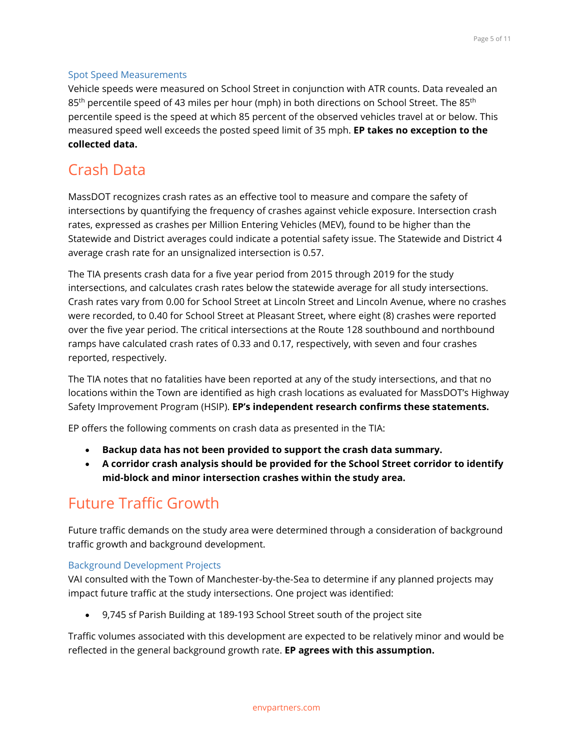#### Spot Speed Measurements

Vehicle speeds were measured on School Street in conjunction with ATR counts. Data revealed an 85<sup>th</sup> percentile speed of 43 miles per hour (mph) in both directions on School Street. The 85<sup>th</sup> percentile speed is the speed at which 85 percent of the observed vehicles travel at or below. This measured speed well exceeds the posted speed limit of 35 mph. **EP takes no exception to the collected data.**

# Crash Data

MassDOT recognizes crash rates as an effective tool to measure and compare the safety of intersections by quantifying the frequency of crashes against vehicle exposure. Intersection crash rates, expressed as crashes per Million Entering Vehicles (MEV), found to be higher than the Statewide and District averages could indicate a potential safety issue. The Statewide and District 4 average crash rate for an unsignalized intersection is 0.57.

The TIA presents crash data for a five year period from 2015 through 2019 for the study intersections, and calculates crash rates below the statewide average for all study intersections. Crash rates vary from 0.00 for School Street at Lincoln Street and Lincoln Avenue, where no crashes were recorded, to 0.40 for School Street at Pleasant Street, where eight (8) crashes were reported over the five year period. The critical intersections at the Route 128 southbound and northbound ramps have calculated crash rates of 0.33 and 0.17, respectively, with seven and four crashes reported, respectively.

The TIA notes that no fatalities have been reported at any of the study intersections, and that no locations within the Town are identified as high crash locations as evaluated for MassDOT's Highway Safety Improvement Program (HSIP). **EP's independent research confirms these statements.**

EP offers the following comments on crash data as presented in the TIA:

- **Backup data has not been provided to support the crash data summary.**
- **A corridor crash analysis should be provided for the School Street corridor to identify mid-block and minor intersection crashes within the study area.**

# Future Traffic Growth

Future traffic demands on the study area were determined through a consideration of background traffic growth and background development.

Background Development Projects

VAI consulted with the Town of Manchester-by-the-Sea to determine if any planned projects may impact future traffic at the study intersections. One project was identified:

• 9,745 sf Parish Building at 189-193 School Street south of the project site

Traffic volumes associated with this development are expected to be relatively minor and would be reflected in the general background growth rate. **EP agrees with this assumption.**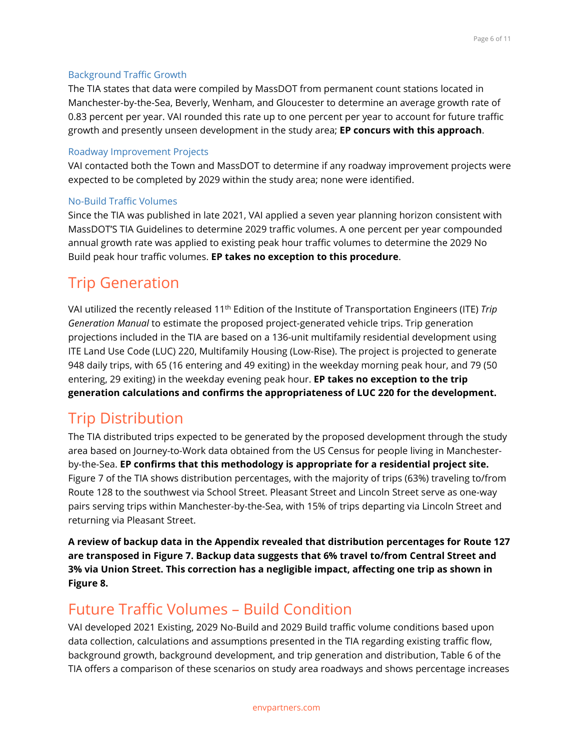#### Background Traffic Growth

The TIA states that data were compiled by MassDOT from permanent count stations located in Manchester-by-the-Sea, Beverly, Wenham, and Gloucester to determine an average growth rate of 0.83 percent per year. VAI rounded this rate up to one percent per year to account for future traffic growth and presently unseen development in the study area; **EP concurs with this approach**.

#### Roadway Improvement Projects

VAI contacted both the Town and MassDOT to determine if any roadway improvement projects were expected to be completed by 2029 within the study area; none were identified.

#### No-Build Traffic Volumes

Since the TIA was published in late 2021, VAI applied a seven year planning horizon consistent with MassDOT'S TIA Guidelines to determine 2029 traffic volumes. A one percent per year compounded annual growth rate was applied to existing peak hour traffic volumes to determine the 2029 No Build peak hour traffic volumes. **EP takes no exception to this procedure**.

## Trip Generation

VAI utilized the recently released 11th Edition of the Institute of Transportation Engineers (ITE) *Trip Generation Manual* to estimate the proposed project-generated vehicle trips. Trip generation projections included in the TIA are based on a 136-unit multifamily residential development using ITE Land Use Code (LUC) 220, Multifamily Housing (Low-Rise). The project is projected to generate 948 daily trips, with 65 (16 entering and 49 exiting) in the weekday morning peak hour, and 79 (50 entering, 29 exiting) in the weekday evening peak hour. **EP takes no exception to the trip generation calculations and confirms the appropriateness of LUC 220 for the development.**

### Trip Distribution

The TIA distributed trips expected to be generated by the proposed development through the study area based on Journey-to-Work data obtained from the US Census for people living in Manchesterby-the-Sea. **EP confirms that this methodology is appropriate for a residential project site.** Figure 7 of the TIA shows distribution percentages, with the majority of trips (63%) traveling to/from Route 128 to the southwest via School Street. Pleasant Street and Lincoln Street serve as one-way pairs serving trips within Manchester-by-the-Sea, with 15% of trips departing via Lincoln Street and returning via Pleasant Street.

**A review of backup data in the Appendix revealed that distribution percentages for Route 127 are transposed in Figure 7. Backup data suggests that 6% travel to/from Central Street and 3% via Union Street. This correction has a negligible impact, affecting one trip as shown in Figure 8.**

## Future Traffic Volumes – Build Condition

VAI developed 2021 Existing, 2029 No-Build and 2029 Build traffic volume conditions based upon data collection, calculations and assumptions presented in the TIA regarding existing traffic flow, background growth, background development, and trip generation and distribution, Table 6 of the TIA offers a comparison of these scenarios on study area roadways and shows percentage increases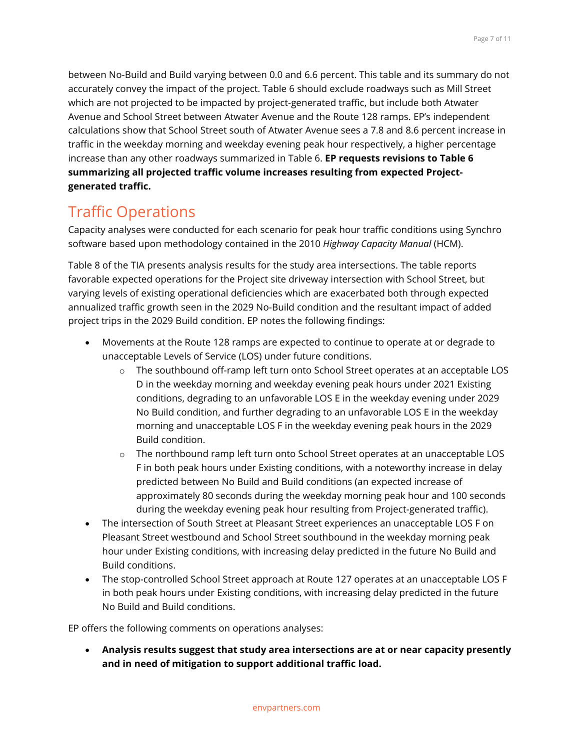between No-Build and Build varying between 0.0 and 6.6 percent. This table and its summary do not accurately convey the impact of the project. Table 6 should exclude roadways such as Mill Street which are not projected to be impacted by project-generated traffic, but include both Atwater Avenue and School Street between Atwater Avenue and the Route 128 ramps. EP's independent calculations show that School Street south of Atwater Avenue sees a 7.8 and 8.6 percent increase in traffic in the weekday morning and weekday evening peak hour respectively, a higher percentage increase than any other roadways summarized in Table 6. **EP requests revisions to Table 6 summarizing all projected traffic volume increases resulting from expected Projectgenerated traffic.**

# Traffic Operations

Capacity analyses were conducted for each scenario for peak hour traffic conditions using Synchro software based upon methodology contained in the 2010 *Highway Capacity Manual* (HCM).

Table 8 of the TIA presents analysis results for the study area intersections. The table reports favorable expected operations for the Project site driveway intersection with School Street, but varying levels of existing operational deficiencies which are exacerbated both through expected annualized traffic growth seen in the 2029 No-Build condition and the resultant impact of added project trips in the 2029 Build condition. EP notes the following findings:

- Movements at the Route 128 ramps are expected to continue to operate at or degrade to unacceptable Levels of Service (LOS) under future conditions.
	- o The southbound off-ramp left turn onto School Street operates at an acceptable LOS D in the weekday morning and weekday evening peak hours under 2021 Existing conditions, degrading to an unfavorable LOS E in the weekday evening under 2029 No Build condition, and further degrading to an unfavorable LOS E in the weekday morning and unacceptable LOS F in the weekday evening peak hours in the 2029 Build condition.
	- $\circ$  The northbound ramp left turn onto School Street operates at an unacceptable LOS F in both peak hours under Existing conditions, with a noteworthy increase in delay predicted between No Build and Build conditions (an expected increase of approximately 80 seconds during the weekday morning peak hour and 100 seconds during the weekday evening peak hour resulting from Project-generated traffic).
- The intersection of South Street at Pleasant Street experiences an unacceptable LOS F on Pleasant Street westbound and School Street southbound in the weekday morning peak hour under Existing conditions, with increasing delay predicted in the future No Build and Build conditions.
- The stop-controlled School Street approach at Route 127 operates at an unacceptable LOS F in both peak hours under Existing conditions, with increasing delay predicted in the future No Build and Build conditions.

EP offers the following comments on operations analyses:

• **Analysis results suggest that study area intersections are at or near capacity presently and in need of mitigation to support additional traffic load.**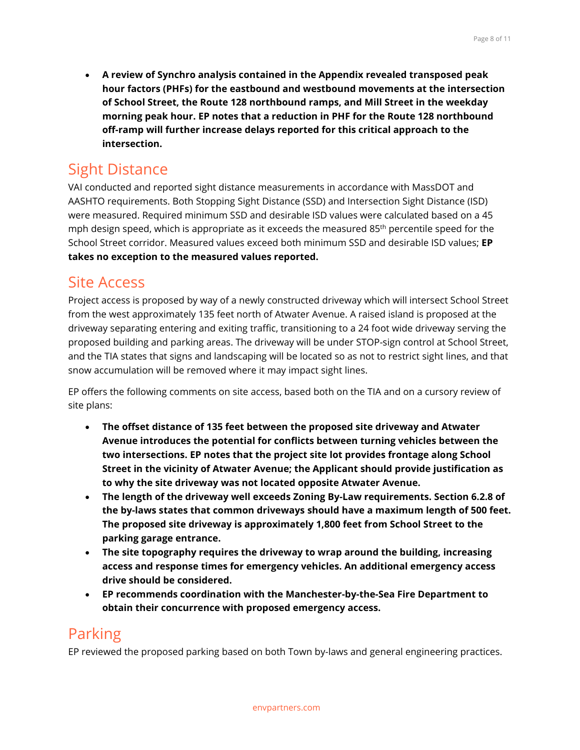• **A review of Synchro analysis contained in the Appendix revealed transposed peak hour factors (PHFs) for the eastbound and westbound movements at the intersection of School Street, the Route 128 northbound ramps, and Mill Street in the weekday morning peak hour. EP notes that a reduction in PHF for the Route 128 northbound off-ramp will further increase delays reported for this critical approach to the intersection.**

### Sight Distance

VAI conducted and reported sight distance measurements in accordance with MassDOT and AASHTO requirements. Both Stopping Sight Distance (SSD) and Intersection Sight Distance (ISD) were measured. Required minimum SSD and desirable ISD values were calculated based on a 45 mph design speed, which is appropriate as it exceeds the measured 85<sup>th</sup> percentile speed for the School Street corridor. Measured values exceed both minimum SSD and desirable ISD values; **EP takes no exception to the measured values reported.**

### Site Access

Project access is proposed by way of a newly constructed driveway which will intersect School Street from the west approximately 135 feet north of Atwater Avenue. A raised island is proposed at the driveway separating entering and exiting traffic, transitioning to a 24 foot wide driveway serving the proposed building and parking areas. The driveway will be under STOP-sign control at School Street, and the TIA states that signs and landscaping will be located so as not to restrict sight lines, and that snow accumulation will be removed where it may impact sight lines.

EP offers the following comments on site access, based both on the TIA and on a cursory review of site plans:

- **The offset distance of 135 feet between the proposed site driveway and Atwater Avenue introduces the potential for conflicts between turning vehicles between the two intersections. EP notes that the project site lot provides frontage along School Street in the vicinity of Atwater Avenue; the Applicant should provide justification as to why the site driveway was not located opposite Atwater Avenue.**
- **The length of the driveway well exceeds Zoning By-Law requirements. Section 6.2.8 of the by-laws states that common driveways should have a maximum length of 500 feet. The proposed site driveway is approximately 1,800 feet from School Street to the parking garage entrance.**
- **The site topography requires the driveway to wrap around the building, increasing access and response times for emergency vehicles. An additional emergency access drive should be considered.**
- **EP recommends coordination with the Manchester-by-the-Sea Fire Department to obtain their concurrence with proposed emergency access.**

## Parking

EP reviewed the proposed parking based on both Town by-laws and general engineering practices.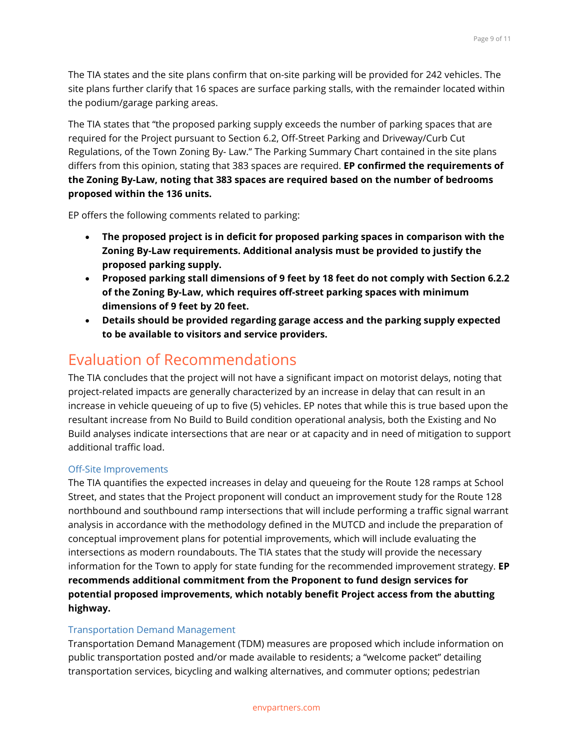The TIA states and the site plans confirm that on-site parking will be provided for 242 vehicles. The site plans further clarify that 16 spaces are surface parking stalls, with the remainder located within the podium/garage parking areas.

The TIA states that "the proposed parking supply exceeds the number of parking spaces that are required for the Project pursuant to Section 6.2, Off-Street Parking and Driveway/Curb Cut Regulations, of the Town Zoning By- Law." The Parking Summary Chart contained in the site plans differs from this opinion, stating that 383 spaces are required. **EP confirmed the requirements of the Zoning By-Law, noting that 383 spaces are required based on the number of bedrooms proposed within the 136 units.**

EP offers the following comments related to parking:

- **The proposed project is in deficit for proposed parking spaces in comparison with the Zoning By-Law requirements. Additional analysis must be provided to justify the proposed parking supply.**
- **Proposed parking stall dimensions of 9 feet by 18 feet do not comply with Section 6.2.2 of the Zoning By-Law, which requires off-street parking spaces with minimum dimensions of 9 feet by 20 feet.**
- **Details should be provided regarding garage access and the parking supply expected to be available to visitors and service providers.**

### Evaluation of Recommendations

The TIA concludes that the project will not have a significant impact on motorist delays, noting that project-related impacts are generally characterized by an increase in delay that can result in an increase in vehicle queueing of up to five (5) vehicles. EP notes that while this is true based upon the resultant increase from No Build to Build condition operational analysis, both the Existing and No Build analyses indicate intersections that are near or at capacity and in need of mitigation to support additional traffic load.

#### Off-Site Improvements

The TIA quantifies the expected increases in delay and queueing for the Route 128 ramps at School Street, and states that the Project proponent will conduct an improvement study for the Route 128 northbound and southbound ramp intersections that will include performing a traffic signal warrant analysis in accordance with the methodology defined in the MUTCD and include the preparation of conceptual improvement plans for potential improvements, which will include evaluating the intersections as modern roundabouts. The TIA states that the study will provide the necessary information for the Town to apply for state funding for the recommended improvement strategy. **EP recommends additional commitment from the Proponent to fund design services for potential proposed improvements, which notably benefit Project access from the abutting highway.**

#### Transportation Demand Management

Transportation Demand Management (TDM) measures are proposed which include information on public transportation posted and/or made available to residents; a "welcome packet" detailing transportation services, bicycling and walking alternatives, and commuter options; pedestrian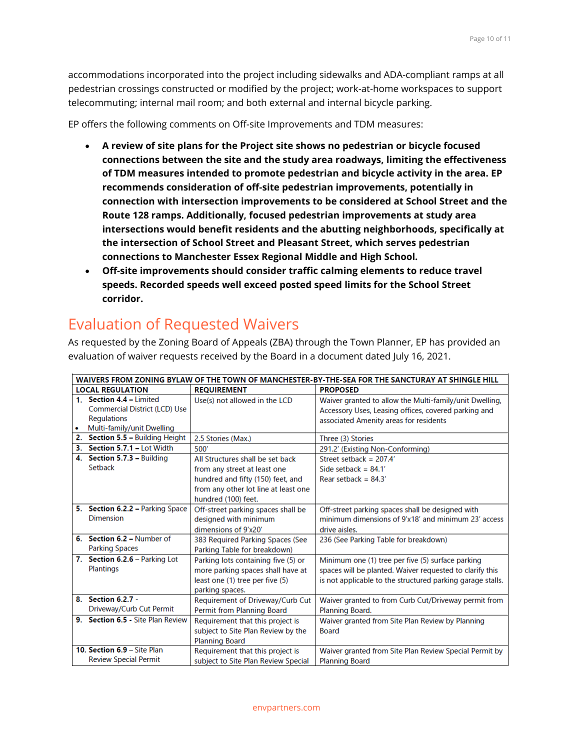accommodations incorporated into the project including sidewalks and ADA-compliant ramps at all pedestrian crossings constructed or modified by the project; work-at-home workspaces to support telecommuting; internal mail room; and both external and internal bicycle parking.

EP offers the following comments on Off-site Improvements and TDM measures:

- **A review of site plans for the Project site shows no pedestrian or bicycle focused connections between the site and the study area roadways, limiting the effectiveness of TDM measures intended to promote pedestrian and bicycle activity in the area. EP recommends consideration of off-site pedestrian improvements, potentially in connection with intersection improvements to be considered at School Street and the Route 128 ramps. Additionally, focused pedestrian improvements at study area intersections would benefit residents and the abutting neighborhoods, specifically at the intersection of School Street and Pleasant Street, which serves pedestrian connections to Manchester Essex Regional Middle and High School.**
- **Off-site improvements should consider traffic calming elements to reduce travel speeds. Recorded speeds well exceed posted speed limits for the School Street corridor.**

# Evaluation of Requested Waivers

As requested by the Zoning Board of Appeals (ZBA) through the Town Planner, EP has provided an evaluation of waiver requests received by the Board in a document dated July 16, 2021.

| WAIVERS FROM ZONING BYLAW OF THE TOWN OF MANCHESTER-BY-THE-SEA FOR THE SANCTURAY AT SHINGLE HILL |                                                                                                               |                                                                                                                                                                      |                                                                                                                                                                             |  |
|--------------------------------------------------------------------------------------------------|---------------------------------------------------------------------------------------------------------------|----------------------------------------------------------------------------------------------------------------------------------------------------------------------|-----------------------------------------------------------------------------------------------------------------------------------------------------------------------------|--|
| <b>LOCAL REGULATION</b>                                                                          |                                                                                                               | <b>REQUIREMENT</b>                                                                                                                                                   | <b>PROPOSED</b>                                                                                                                                                             |  |
|                                                                                                  | 1. Section 4.4 - Limited<br>Commercial District (LCD) Use<br><b>Regulations</b><br>Multi-family/unit Dwelling | Use(s) not allowed in the LCD                                                                                                                                        | Waiver granted to allow the Multi-family/unit Dwelling,<br>Accessory Uses, Leasing offices, covered parking and<br>associated Amenity areas for residents                   |  |
| 2.                                                                                               | Section 5.5 - Building Height                                                                                 | 2.5 Stories (Max.)                                                                                                                                                   | Three (3) Stories                                                                                                                                                           |  |
| 3.                                                                                               | Section 5.7.1 - Lot Width                                                                                     | 500                                                                                                                                                                  | 291.2' (Existing Non-Conforming)                                                                                                                                            |  |
|                                                                                                  | 4. Section 5.7.3 - Building<br>Setback                                                                        | All Structures shall be set back<br>from any street at least one<br>hundred and fifty (150) feet, and<br>from any other lot line at least one<br>hundred (100) feet. | Street setback = $207.4'$<br>Side setback = $84.1'$<br>Rear setback = $84.3'$                                                                                               |  |
|                                                                                                  | 5. Section 6.2.2 - Parking Space<br><b>Dimension</b>                                                          | Off-street parking spaces shall be<br>designed with minimum<br>dimensions of 9'x20'                                                                                  | Off-street parking spaces shall be designed with<br>minimum dimensions of 9'x18' and minimum 23' access<br>drive aisles.                                                    |  |
|                                                                                                  | 6. Section 6.2 - Number of<br><b>Parking Spaces</b>                                                           | 383 Required Parking Spaces (See<br>Parking Table for breakdown)                                                                                                     | 236 (See Parking Table for breakdown)                                                                                                                                       |  |
|                                                                                                  | 7. Section 6.2.6 - Parking Lot<br><b>Plantings</b>                                                            | Parking lots containing five (5) or<br>more parking spaces shall have at<br>least one (1) tree per five (5)<br>parking spaces.                                       | Minimum one (1) tree per five (5) surface parking<br>spaces will be planted. Waiver requested to clarify this<br>is not applicable to the structured parking garage stalls. |  |
|                                                                                                  | 8. Section 6.2.7 -<br>Driveway/Curb Cut Permit                                                                | Requirement of Driveway/Curb Cut<br>Permit from Planning Board                                                                                                       | Waiver granted to from Curb Cut/Driveway permit from<br>Planning Board.                                                                                                     |  |
|                                                                                                  | 9. Section 6.5 - Site Plan Review                                                                             | Requirement that this project is<br>subject to Site Plan Review by the<br><b>Planning Board</b>                                                                      | Waiver granted from Site Plan Review by Planning<br><b>Board</b>                                                                                                            |  |
|                                                                                                  | 10. Section 6.9 - Site Plan<br><b>Review Special Permit</b>                                                   | Requirement that this project is<br>subject to Site Plan Review Special                                                                                              | Waiver granted from Site Plan Review Special Permit by<br><b>Planning Board</b>                                                                                             |  |